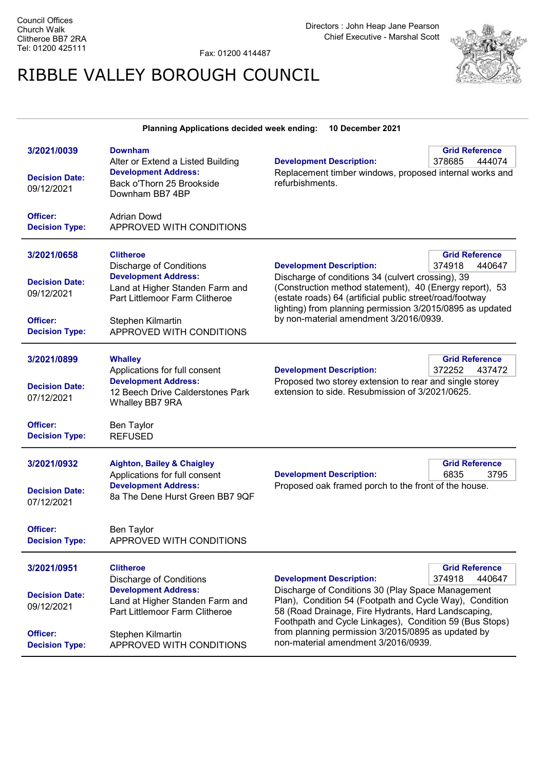Fax: 01200 414487

## RIBBLE VALLEY BOROUGH COUNCIL



| <b>Planning Applications decided week ending:</b><br>10 December 2021 |                                                                                                                                          |                                                                                                                                                                                                                                                                                                                             |                                           |
|-----------------------------------------------------------------------|------------------------------------------------------------------------------------------------------------------------------------------|-----------------------------------------------------------------------------------------------------------------------------------------------------------------------------------------------------------------------------------------------------------------------------------------------------------------------------|-------------------------------------------|
| 3/2021/0039<br><b>Decision Date:</b><br>09/12/2021                    | <b>Downham</b><br>Alter or Extend a Listed Building<br><b>Development Address:</b><br>Back o'Thorn 25 Brookside<br>Downham BB7 4BP       | <b>Development Description:</b><br>Replacement timber windows, proposed internal works and<br>refurbishments.                                                                                                                                                                                                               | <b>Grid Reference</b><br>378685<br>444074 |
| Officer:<br><b>Decision Type:</b>                                     | <b>Adrian Dowd</b><br>APPROVED WITH CONDITIONS                                                                                           |                                                                                                                                                                                                                                                                                                                             |                                           |
| 3/2021/0658                                                           | <b>Clitheroe</b><br><b>Discharge of Conditions</b>                                                                                       | <b>Development Description:</b>                                                                                                                                                                                                                                                                                             | <b>Grid Reference</b><br>374918<br>440647 |
| <b>Decision Date:</b><br>09/12/2021                                   | <b>Development Address:</b><br>Land at Higher Standen Farm and<br>Part Littlemoor Farm Clitheroe                                         | Discharge of conditions 34 (culvert crossing), 39<br>(Construction method statement), 40 (Energy report), 53<br>(estate roads) 64 (artificial public street/road/footway<br>lighting) from planning permission 3/2015/0895 as updated                                                                                       |                                           |
| Officer:<br><b>Decision Type:</b>                                     | Stephen Kilmartin<br>APPROVED WITH CONDITIONS                                                                                            | by non-material amendment 3/2016/0939.                                                                                                                                                                                                                                                                                      |                                           |
| 3/2021/0899<br><b>Decision Date:</b>                                  | <b>Whalley</b><br>Applications for full consent<br><b>Development Address:</b>                                                           | <b>Development Description:</b><br>Proposed two storey extension to rear and single storey                                                                                                                                                                                                                                  | <b>Grid Reference</b><br>372252<br>437472 |
| 07/12/2021<br>Officer:                                                | 12 Beech Drive Calderstones Park<br>Whalley BB7 9RA<br>Ben Taylor                                                                        | extension to side. Resubmission of 3/2021/0625.                                                                                                                                                                                                                                                                             |                                           |
| <b>Decision Type:</b>                                                 | <b>REFUSED</b>                                                                                                                           |                                                                                                                                                                                                                                                                                                                             |                                           |
| 3/2021/0932<br><b>Decision Date:</b><br>07/12/2021                    | <b>Aighton, Bailey &amp; Chaigley</b><br>Applications for full consent<br><b>Development Address:</b><br>8a The Dene Hurst Green BB7 9QF | <b>Development Description:</b><br>Proposed oak framed porch to the front of the house.                                                                                                                                                                                                                                     | <b>Grid Reference</b><br>6835<br>3795     |
| Officer:<br><b>Decision Type:</b>                                     | Ben Taylor<br>APPROVED WITH CONDITIONS                                                                                                   |                                                                                                                                                                                                                                                                                                                             |                                           |
| 3/2021/0951                                                           | <b>Clitheroe</b><br>Discharge of Conditions                                                                                              | <b>Development Description:</b>                                                                                                                                                                                                                                                                                             | <b>Grid Reference</b><br>374918<br>440647 |
| <b>Decision Date:</b><br>09/12/2021                                   | <b>Development Address:</b><br>Land at Higher Standen Farm and<br>Part Littlemoor Farm Clitheroe                                         | Discharge of Conditions 30 (Play Space Management<br>Plan), Condition 54 (Footpath and Cycle Way), Condition<br>58 (Road Drainage, Fire Hydrants, Hard Landscaping,<br>Foothpath and Cycle Linkages), Condition 59 (Bus Stops)<br>from planning permission 3/2015/0895 as updated by<br>non-material amendment 3/2016/0939. |                                           |
| Officer:<br><b>Decision Type:</b>                                     | Stephen Kilmartin<br>APPROVED WITH CONDITIONS                                                                                            |                                                                                                                                                                                                                                                                                                                             |                                           |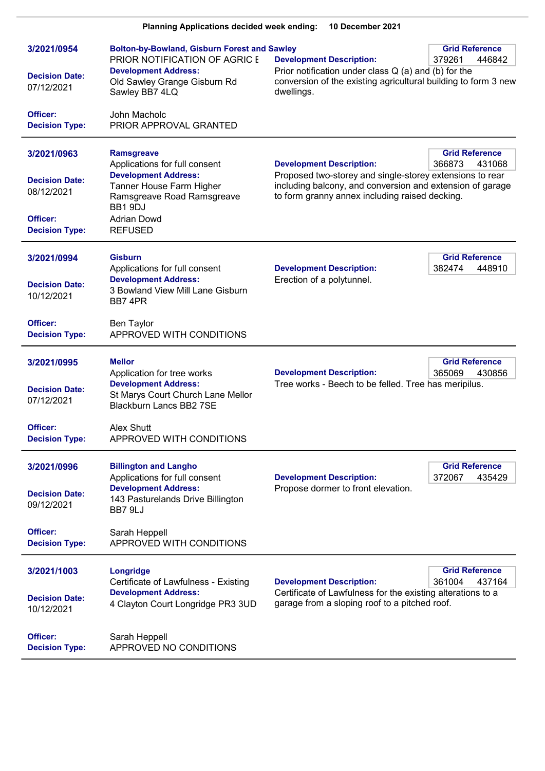| <b>Planning Applications decided week ending:</b><br>10 December 2021                   |                                                                                                                                                                                                |                                                                                                                                                                                                            |                                           |
|-----------------------------------------------------------------------------------------|------------------------------------------------------------------------------------------------------------------------------------------------------------------------------------------------|------------------------------------------------------------------------------------------------------------------------------------------------------------------------------------------------------------|-------------------------------------------|
| 3/2021/0954<br><b>Decision Date:</b><br>07/12/2021                                      | <b>Bolton-by-Bowland, Gisburn Forest and Sawley</b><br>PRIOR NOTIFICATION OF AGRIC E<br><b>Development Address:</b><br>Old Sawley Grange Gisburn Rd<br>Sawley BB7 4LQ                          | <b>Development Description:</b><br>Prior notification under class $Q(a)$ and (b) for the<br>conversion of the existing agricultural building to form 3 new<br>dwellings.                                   | <b>Grid Reference</b><br>379261<br>446842 |
| Officer:<br><b>Decision Type:</b>                                                       | John Macholc<br>PRIOR APPROVAL GRANTED                                                                                                                                                         |                                                                                                                                                                                                            |                                           |
| 3/2021/0963<br><b>Decision Date:</b><br>08/12/2021<br>Officer:<br><b>Decision Type:</b> | <b>Ramsgreave</b><br>Applications for full consent<br><b>Development Address:</b><br>Tanner House Farm Higher<br>Ramsgreave Road Ramsgreave<br>BB1 9DJ<br><b>Adrian Dowd</b><br><b>REFUSED</b> | <b>Development Description:</b><br>Proposed two-storey and single-storey extensions to rear<br>including balcony, and conversion and extension of garage<br>to form granny annex including raised decking. | <b>Grid Reference</b><br>366873<br>431068 |
| 3/2021/0994<br><b>Decision Date:</b><br>10/12/2021                                      | <b>Gisburn</b><br>Applications for full consent<br><b>Development Address:</b><br>3 Bowland View Mill Lane Gisburn<br>BB74PR                                                                   | <b>Development Description:</b><br>Erection of a polytunnel.                                                                                                                                               | <b>Grid Reference</b><br>382474<br>448910 |
| Officer:<br><b>Decision Type:</b>                                                       | Ben Taylor<br>APPROVED WITH CONDITIONS                                                                                                                                                         |                                                                                                                                                                                                            |                                           |
| 3/2021/0995<br><b>Decision Date:</b><br>07/12/2021                                      | <b>Mellor</b><br>Application for tree works<br><b>Development Address:</b><br>St Marys Court Church Lane Mellor<br><b>Blackburn Lancs BB2 7SE</b>                                              | <b>Development Description:</b><br>Tree works - Beech to be felled. Tree has meripilus.                                                                                                                    | <b>Grid Reference</b><br>365069<br>430856 |
| Officer:<br><b>Decision Type:</b>                                                       | Alex Shutt<br>APPROVED WITH CONDITIONS                                                                                                                                                         |                                                                                                                                                                                                            |                                           |
| 3/2021/0996<br><b>Decision Date:</b><br>09/12/2021                                      | <b>Billington and Langho</b><br>Applications for full consent<br><b>Development Address:</b><br>143 Pasturelands Drive Billington<br>BB7 9LJ                                                   | <b>Development Description:</b><br>Propose dormer to front elevation.                                                                                                                                      | <b>Grid Reference</b><br>372067<br>435429 |
| Officer:<br><b>Decision Type:</b>                                                       | Sarah Heppell<br>APPROVED WITH CONDITIONS                                                                                                                                                      |                                                                                                                                                                                                            |                                           |
| 3/2021/1003<br><b>Decision Date:</b><br>10/12/2021                                      | Longridge<br>Certificate of Lawfulness - Existing<br><b>Development Address:</b><br>4 Clayton Court Longridge PR3 3UD                                                                          | <b>Development Description:</b><br>Certificate of Lawfulness for the existing alterations to a<br>garage from a sloping roof to a pitched roof.                                                            | <b>Grid Reference</b><br>361004<br>437164 |
| Officer:<br><b>Decision Type:</b>                                                       | Sarah Heppell<br>APPROVED NO CONDITIONS                                                                                                                                                        |                                                                                                                                                                                                            |                                           |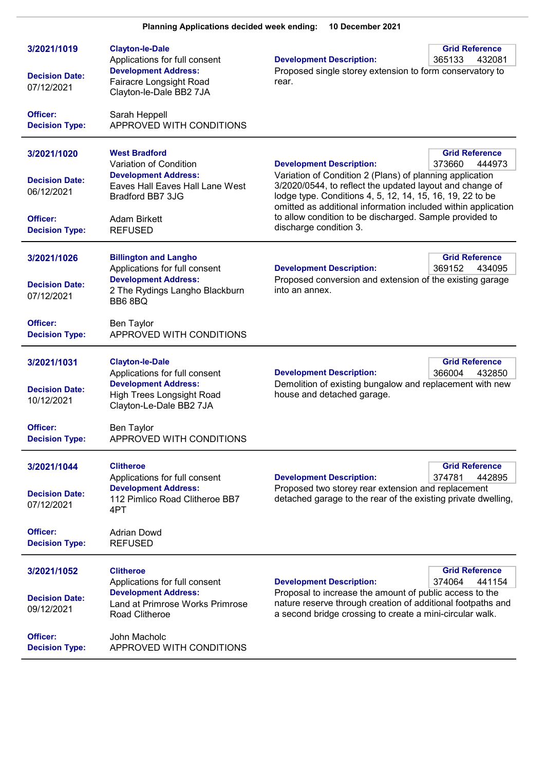| 3/2021/1019                         | <b>Clayton-le-Dale</b>                                                                                             | <b>Development Description:</b>                                                                                                                                                                                                                                                                                                         | <b>Grid Reference</b>                     |
|-------------------------------------|--------------------------------------------------------------------------------------------------------------------|-----------------------------------------------------------------------------------------------------------------------------------------------------------------------------------------------------------------------------------------------------------------------------------------------------------------------------------------|-------------------------------------------|
| <b>Decision Date:</b><br>07/12/2021 | Applications for full consent<br><b>Development Address:</b><br>Fairacre Longsight Road<br>Clayton-le-Dale BB2 7JA | Proposed single storey extension to form conservatory to<br>rear.                                                                                                                                                                                                                                                                       | 365133<br>432081                          |
| Officer:<br><b>Decision Type:</b>   | Sarah Heppell<br>APPROVED WITH CONDITIONS                                                                          |                                                                                                                                                                                                                                                                                                                                         |                                           |
| 3/2021/1020                         | <b>West Bradford</b><br>Variation of Condition                                                                     | <b>Development Description:</b>                                                                                                                                                                                                                                                                                                         | <b>Grid Reference</b><br>373660<br>444973 |
| <b>Decision Date:</b><br>06/12/2021 | <b>Development Address:</b><br>Eaves Hall Eaves Hall Lane West<br>Bradford BB7 3JG                                 | Variation of Condition 2 (Plans) of planning application<br>3/2020/0544, to reflect the updated layout and change of<br>lodge type. Conditions 4, 5, 12, 14, 15, 16, 19, 22 to be<br>omitted as additional information included within application<br>to allow condition to be discharged. Sample provided to<br>discharge condition 3. |                                           |
| Officer:<br><b>Decision Type:</b>   | Adam Birkett<br><b>REFUSED</b>                                                                                     |                                                                                                                                                                                                                                                                                                                                         |                                           |
| 3/2021/1026                         | <b>Billington and Langho</b><br>Applications for full consent                                                      | <b>Development Description:</b>                                                                                                                                                                                                                                                                                                         | <b>Grid Reference</b><br>369152<br>434095 |
| <b>Decision Date:</b><br>07/12/2021 | <b>Development Address:</b><br>2 The Rydings Langho Blackburn<br>BB68BQ                                            | Proposed conversion and extension of the existing garage<br>into an annex.                                                                                                                                                                                                                                                              |                                           |
| Officer:<br><b>Decision Type:</b>   | <b>Ben Taylor</b><br>APPROVED WITH CONDITIONS                                                                      |                                                                                                                                                                                                                                                                                                                                         |                                           |
| 3/2021/1031                         | <b>Clayton-le-Dale</b><br>Applications for full consent                                                            | <b>Development Description:</b>                                                                                                                                                                                                                                                                                                         | <b>Grid Reference</b><br>366004<br>432850 |
| <b>Decision Date:</b><br>10/12/2021 | <b>Development Address:</b><br>High Trees Longsight Road<br>Clayton-Le-Dale BB2 7JA                                | Demolition of existing bungalow and replacement with new<br>house and detached garage.                                                                                                                                                                                                                                                  |                                           |
| Officer:<br><b>Decision Type:</b>   | <b>Ben Taylor</b><br>APPROVED WITH CONDITIONS                                                                      |                                                                                                                                                                                                                                                                                                                                         |                                           |
| 3/2021/1044                         | <b>Clitheroe</b><br>Applications for full consent                                                                  | <b>Development Description:</b>                                                                                                                                                                                                                                                                                                         | <b>Grid Reference</b><br>374781<br>442895 |
| <b>Decision Date:</b><br>07/12/2021 | <b>Development Address:</b><br>112 Pimlico Road Clitheroe BB7<br>4PT                                               | Proposed two storey rear extension and replacement<br>detached garage to the rear of the existing private dwelling,                                                                                                                                                                                                                     |                                           |
| Officer:<br><b>Decision Type:</b>   | <b>Adrian Dowd</b><br><b>REFUSED</b>                                                                               |                                                                                                                                                                                                                                                                                                                                         |                                           |
| 3/2021/1052                         | <b>Clitheroe</b><br>Applications for full consent                                                                  | <b>Development Description:</b>                                                                                                                                                                                                                                                                                                         | <b>Grid Reference</b><br>374064<br>441154 |
| <b>Decision Date:</b><br>09/12/2021 | <b>Development Address:</b><br>Land at Primrose Works Primrose<br>Road Clitheroe                                   | Proposal to increase the amount of public access to the<br>nature reserve through creation of additional footpaths and<br>a second bridge crossing to create a mini-circular walk.                                                                                                                                                      |                                           |
| Officer:<br><b>Decision Type:</b>   | John Macholc<br>APPROVED WITH CONDITIONS                                                                           |                                                                                                                                                                                                                                                                                                                                         |                                           |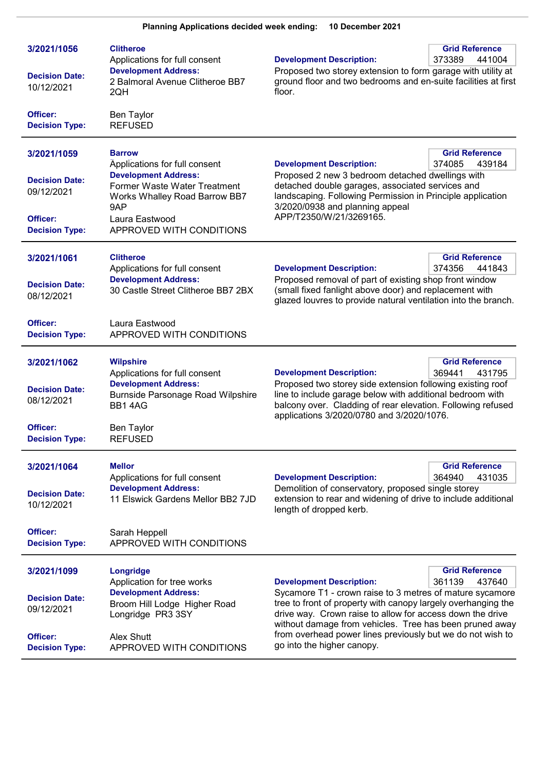| 3/2021/1056<br><b>Decision Date:</b><br>10/12/2021                                      | <b>Clitheroe</b><br>Applications for full consent<br><b>Development Address:</b><br>2 Balmoral Avenue Clitheroe BB7<br>2QH                                                                          | <b>Development Description:</b><br>Proposed two storey extension to form garage with utility at<br>ground floor and two bedrooms and en-suite facilities at first<br>floor.                                                                                                                                                                                                      | <b>Grid Reference</b><br>373389<br>441004 |
|-----------------------------------------------------------------------------------------|-----------------------------------------------------------------------------------------------------------------------------------------------------------------------------------------------------|----------------------------------------------------------------------------------------------------------------------------------------------------------------------------------------------------------------------------------------------------------------------------------------------------------------------------------------------------------------------------------|-------------------------------------------|
| Officer:<br><b>Decision Type:</b>                                                       | <b>Ben Taylor</b><br><b>REFUSED</b>                                                                                                                                                                 |                                                                                                                                                                                                                                                                                                                                                                                  |                                           |
| 3/2021/1059<br><b>Decision Date:</b><br>09/12/2021<br>Officer:<br><b>Decision Type:</b> | <b>Barrow</b><br>Applications for full consent<br><b>Development Address:</b><br>Former Waste Water Treatment<br>Works Whalley Road Barrow BB7<br>9AP<br>Laura Eastwood<br>APPROVED WITH CONDITIONS | <b>Grid Reference</b><br><b>Development Description:</b><br>374085<br>439184<br>Proposed 2 new 3 bedroom detached dwellings with<br>detached double garages, associated services and<br>landscaping. Following Permission in Principle application<br>3/2020/0938 and planning appeal<br>APP/T2350/W/21/3269165.                                                                 |                                           |
| 3/2021/1061<br><b>Decision Date:</b><br>08/12/2021                                      | <b>Clitheroe</b><br>Applications for full consent<br><b>Development Address:</b><br>30 Castle Street Clitheroe BB7 2BX                                                                              | <b>Grid Reference</b><br><b>Development Description:</b><br>374356<br>441843<br>Proposed removal of part of existing shop front window<br>(small fixed fanlight above door) and replacement with<br>glazed louvres to provide natural ventilation into the branch.                                                                                                               |                                           |
| Officer:<br><b>Decision Type:</b>                                                       | Laura Eastwood<br>APPROVED WITH CONDITIONS                                                                                                                                                          |                                                                                                                                                                                                                                                                                                                                                                                  |                                           |
| 3/2021/1062<br><b>Decision Date:</b><br>08/12/2021<br>Officer:<br><b>Decision Type:</b> | <b>Wilpshire</b><br>Applications for full consent<br><b>Development Address:</b><br>Burnside Parsonage Road Wilpshire<br>BB14AG<br><b>Ben Taylor</b><br><b>REFUSED</b>                              | <b>Grid Reference</b><br>369441<br><b>Development Description:</b><br>431795<br>Proposed two storey side extension following existing roof<br>line to include garage below with additional bedroom with<br>balcony over. Cladding of rear elevation. Following refused<br>applications 3/2020/0780 and 3/2020/1076.                                                              |                                           |
| 3/2021/1064<br><b>Decision Date:</b><br>10/12/2021                                      | <b>Mellor</b><br>Applications for full consent<br><b>Development Address:</b><br>11 Elswick Gardens Mellor BB2 7JD                                                                                  | <b>Development Description:</b><br>Demolition of conservatory, proposed single storey<br>extension to rear and widening of drive to include additional<br>length of dropped kerb.                                                                                                                                                                                                | <b>Grid Reference</b><br>431035<br>364940 |
| Officer:<br><b>Decision Type:</b>                                                       | Sarah Heppell<br>APPROVED WITH CONDITIONS                                                                                                                                                           |                                                                                                                                                                                                                                                                                                                                                                                  |                                           |
| 3/2021/1099<br><b>Decision Date:</b><br>09/12/2021<br>Officer:<br><b>Decision Type:</b> | Longridge<br>Application for tree works<br><b>Development Address:</b><br>Broom Hill Lodge Higher Road<br>Longridge PR3 3SY<br>Alex Shutt<br>APPROVED WITH CONDITIONS                               | <b>Development Description:</b><br>Sycamore T1 - crown raise to 3 metres of mature sycamore<br>tree to front of property with canopy largely overhanging the<br>drive way. Crown raise to allow for access down the drive<br>without damage from vehicles. Tree has been pruned away<br>from overhead power lines previously but we do not wish to<br>go into the higher canopy. | <b>Grid Reference</b><br>361139<br>437640 |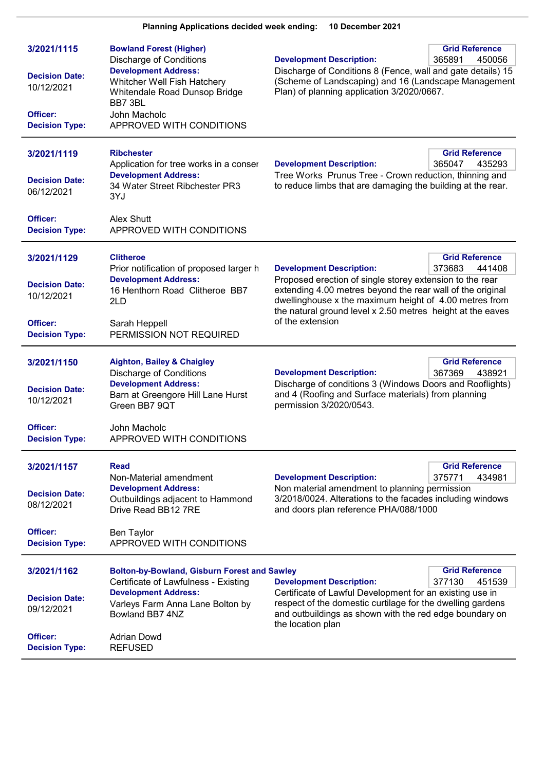| 3/2021/1115<br><b>Decision Date:</b><br>10/12/2021<br>Officer:<br><b>Decision Type:</b> | <b>Bowland Forest (Higher)</b><br><b>Discharge of Conditions</b><br><b>Development Address:</b><br>Whitcher Well Fish Hatchery<br>Whitendale Road Dunsop Bridge<br>BB7 3BL<br>John Macholc<br>APPROVED WITH CONDITIONS | <b>Grid Reference</b><br><b>Development Description:</b><br>365891<br>450056<br>Discharge of Conditions 8 (Fence, wall and gate details) 15<br>(Scheme of Landscaping) and 16 (Landscape Management<br>Plan) of planning application 3/2020/0667.                                                                              |
|-----------------------------------------------------------------------------------------|------------------------------------------------------------------------------------------------------------------------------------------------------------------------------------------------------------------------|--------------------------------------------------------------------------------------------------------------------------------------------------------------------------------------------------------------------------------------------------------------------------------------------------------------------------------|
| 3/2021/1119<br><b>Decision Date:</b><br>06/12/2021                                      | <b>Ribchester</b><br>Application for tree works in a conser<br><b>Development Address:</b><br>34 Water Street Ribchester PR3<br>3YJ                                                                                    | <b>Grid Reference</b><br><b>Development Description:</b><br>365047<br>435293<br>Tree Works Prunus Tree - Crown reduction, thinning and<br>to reduce limbs that are damaging the building at the rear.                                                                                                                          |
| Officer:<br><b>Decision Type:</b>                                                       | Alex Shutt<br>APPROVED WITH CONDITIONS                                                                                                                                                                                 |                                                                                                                                                                                                                                                                                                                                |
| 3/2021/1129<br><b>Decision Date:</b><br>10/12/2021                                      | <b>Clitheroe</b><br>Prior notification of proposed larger h<br><b>Development Address:</b><br>16 Henthorn Road Clitheroe BB7<br>2LD                                                                                    | <b>Grid Reference</b><br><b>Development Description:</b><br>373683<br>441408<br>Proposed erection of single storey extension to the rear<br>extending 4.00 metres beyond the rear wall of the original<br>dwellinghouse x the maximum height of 4.00 metres from<br>the natural ground level x 2.50 metres height at the eaves |
| Officer:<br><b>Decision Type:</b>                                                       | Sarah Heppell<br>PERMISSION NOT REQUIRED                                                                                                                                                                               | of the extension                                                                                                                                                                                                                                                                                                               |
| 3/2021/1150<br><b>Decision Date:</b><br>10/12/2021                                      | <b>Aighton, Bailey &amp; Chaigley</b><br><b>Discharge of Conditions</b><br><b>Development Address:</b><br>Barn at Greengore Hill Lane Hurst<br>Green BB7 9QT                                                           | <b>Grid Reference</b><br><b>Development Description:</b><br>367369<br>438921<br>Discharge of conditions 3 (Windows Doors and Rooflights)<br>and 4 (Roofing and Surface materials) from planning<br>permission 3/2020/0543.                                                                                                     |
| Officer:<br><b>Decision Type:</b>                                                       | John Macholc<br>APPROVED WITH CONDITIONS                                                                                                                                                                               |                                                                                                                                                                                                                                                                                                                                |
| 3/2021/1157<br><b>Decision Date:</b><br>08/12/2021                                      | <b>Read</b><br>Non-Material amendment<br><b>Development Address:</b><br>Outbuildings adjacent to Hammond<br>Drive Read BB12 7RE                                                                                        | <b>Grid Reference</b><br>375771<br>434981<br><b>Development Description:</b><br>Non material amendment to planning permission<br>3/2018/0024. Alterations to the facades including windows<br>and doors plan reference PHA/088/1000                                                                                            |
| Officer:<br><b>Decision Type:</b>                                                       | <b>Ben Taylor</b><br>APPROVED WITH CONDITIONS                                                                                                                                                                          |                                                                                                                                                                                                                                                                                                                                |
| 3/2021/1162<br><b>Decision Date:</b><br>09/12/2021                                      | <b>Bolton-by-Bowland, Gisburn Forest and Sawley</b><br>Certificate of Lawfulness - Existing<br><b>Development Address:</b><br>Varleys Farm Anna Lane Bolton by<br>Bowland BB7 4NZ                                      | <b>Grid Reference</b><br>377130<br>451539<br><b>Development Description:</b><br>Certificate of Lawful Development for an existing use in<br>respect of the domestic curtilage for the dwelling gardens<br>and outbuildings as shown with the red edge boundary on                                                              |
| Officer:<br><b>Decision Type:</b>                                                       | <b>Adrian Dowd</b><br><b>REFUSED</b>                                                                                                                                                                                   | the location plan                                                                                                                                                                                                                                                                                                              |